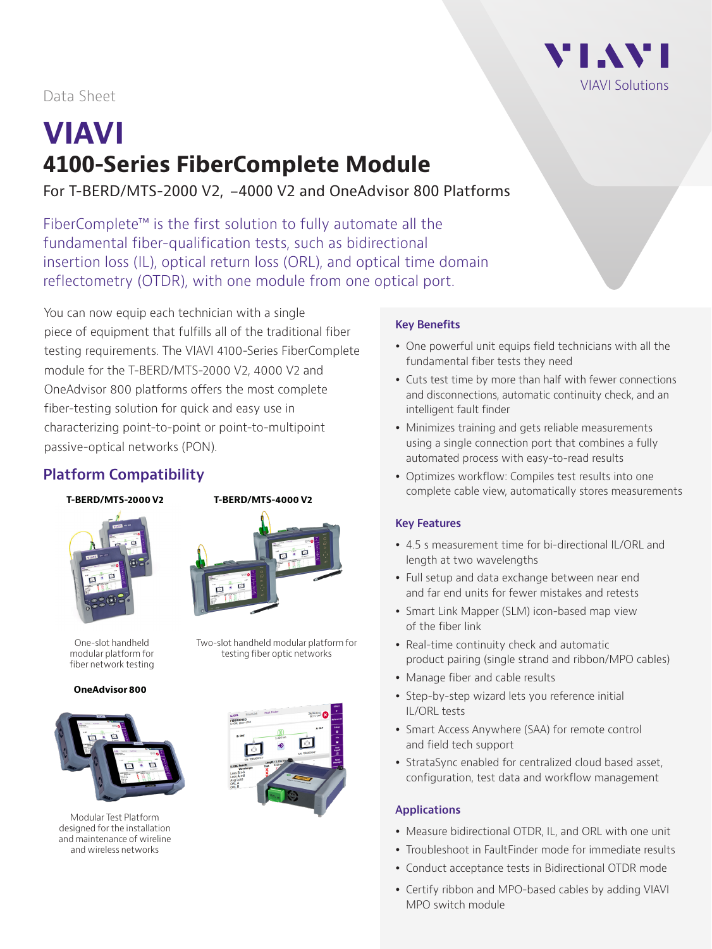

## Data Sheet

# **VIAVI 4100-Series FiberComplete Module**

For T-BERD/MTS-2000 V2, -4000 V2 and OneAdvisor 800 Platforms

FiberComplete™ is the first solution to fully automate all the fundamental fiber-qualification tests, such as bidirectional insertion loss (IL), optical return loss (ORL), and optical time domain reflectometry (OTDR), with one module from one optical port.

You can now equip each technician with a single piece of equipment that fulfills all of the traditional fiber testing requirements. The VIAVI 4100-Series FiberComplete module for the T-BERD/MTS-2000 V2, 4000 V2 and OneAdvisor 800 platforms offers the most complete fiber-testing solution for quick and easy use in characterizing point-to-point or point-to-multipoint passive-optical networks (PON).

## **Platform Compatibility**

#### **T-BERD/MTS-2000 V2 T-BERD/MTS-4000 V2**





Two-slot handheld modular platform for testing fiber optic networks

One-slot handheld modular platform for fiber network testing

**OneAdvisor 800**



Modular Test Platform designed for the installation and maintenance of wireline and wireless networks



#### **Key Benefits**

- One powerful unit equips field technicians with all the fundamental fiber tests they need
- Cuts test time by more than half with fewer connections and disconnections, automatic continuity check, and an intelligent fault finder
- Minimizes training and gets reliable measurements using a single connection port that combines a fully automated process with easy-to-read results
- Optimizes workflow: Compiles test results into one complete cable view, automatically stores measurements

#### **Key Features**

- y 4.5 s measurement time for bi-directional IL/ORL and length at two wavelengths
- Full setup and data exchange between near end and far end units for fewer mistakes and retests
- Smart Link Mapper (SLM) icon-based map view of the fiber link
- Real-time continuity check and automatic product pairing (single strand and ribbon/MPO cables)
- Manage fiber and cable results
- Step-by-step wizard lets you reference initial IL/ORL tests
- Smart Access Anywhere (SAA) for remote control and field tech support
- StrataSync enabled for centralized cloud based asset, configuration, test data and workflow management

#### **Applications**

- Measure bidirectional OTDR, IL, and ORL with one unit
- Troubleshoot in FaultFinder mode for immediate results
- Conduct acceptance tests in Bidirectional OTDR mode
- Certify ribbon and MPO-based cables by adding VIAVI MPO switch module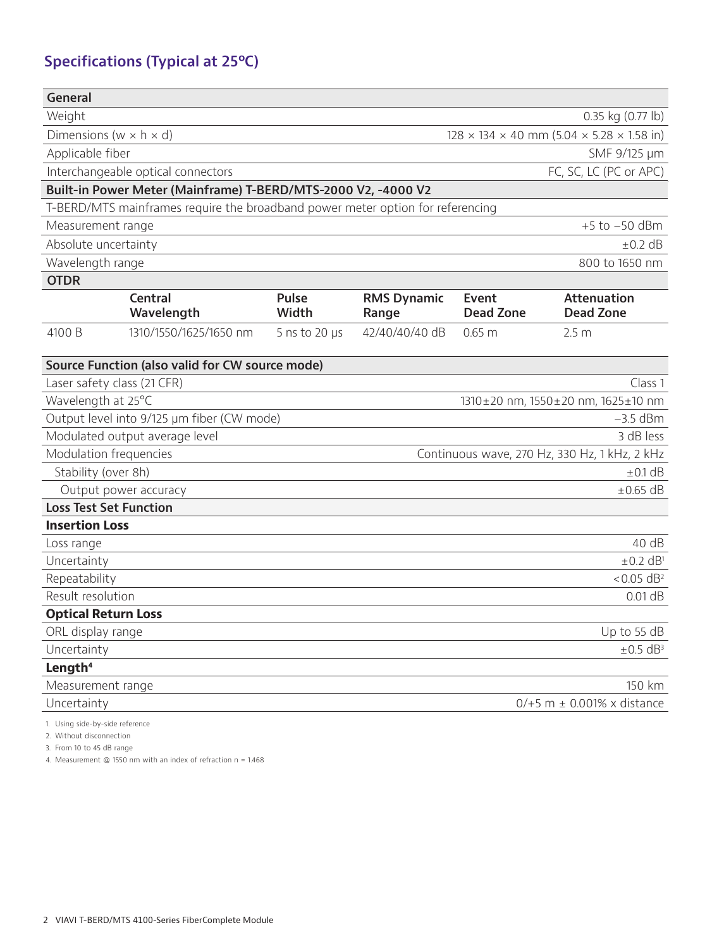## **Specifications (Typical at 25ºC)**

| <b>General</b>                                                                 |                                                 |                       |                             |                                                                   |                                        |  |  |  |  |  |
|--------------------------------------------------------------------------------|-------------------------------------------------|-----------------------|-----------------------------|-------------------------------------------------------------------|----------------------------------------|--|--|--|--|--|
| Weight<br>0.35 kg (0.77 lb)                                                    |                                                 |                       |                             |                                                                   |                                        |  |  |  |  |  |
| Dimensions ( $w \times h \times d$ )                                           |                                                 |                       |                             | $128 \times 134 \times 40$ mm $(5.04 \times 5.28 \times 1.58)$ in |                                        |  |  |  |  |  |
| Applicable fiber                                                               |                                                 |                       | SMF 9/125 µm                |                                                                   |                                        |  |  |  |  |  |
|                                                                                | Interchangeable optical connectors              |                       |                             |                                                                   | FC, SC, LC (PC or APC)                 |  |  |  |  |  |
| Built-in Power Meter (Mainframe) T-BERD/MTS-2000 V2, -4000 V2                  |                                                 |                       |                             |                                                                   |                                        |  |  |  |  |  |
| T-BERD/MTS mainframes require the broadband power meter option for referencing |                                                 |                       |                             |                                                                   |                                        |  |  |  |  |  |
| Measurement range<br>$+5$ to $-50$ dBm                                         |                                                 |                       |                             |                                                                   |                                        |  |  |  |  |  |
| Absolute uncertainty                                                           |                                                 |                       |                             |                                                                   | $\pm$ 0.2 dB                           |  |  |  |  |  |
| Wavelength range                                                               |                                                 |                       |                             |                                                                   | 800 to 1650 nm                         |  |  |  |  |  |
| <b>OTDR</b>                                                                    |                                                 |                       |                             |                                                                   |                                        |  |  |  |  |  |
|                                                                                | <b>Central</b><br>Wavelength                    | <b>Pulse</b><br>Width | <b>RMS Dynamic</b><br>Range | Event<br><b>Dead Zone</b>                                         | <b>Attenuation</b><br><b>Dead Zone</b> |  |  |  |  |  |
| 4100 B                                                                         | 1310/1550/1625/1650 nm                          | 5 ns to 20 $\mu$ s    | 42/40/40/40 dB              | 0.65 m                                                            | 2.5 <sub>m</sub>                       |  |  |  |  |  |
|                                                                                | Source Function (also valid for CW source mode) |                       |                             |                                                                   |                                        |  |  |  |  |  |
| Laser safety class (21 CFR)                                                    |                                                 |                       |                             |                                                                   | Class 1                                |  |  |  |  |  |
| Wavelength at 25°C                                                             |                                                 |                       |                             | 1310±20 nm, 1550±20 nm, 1625±10 nm                                |                                        |  |  |  |  |  |
|                                                                                | Output level into 9/125 µm fiber (CW mode)      |                       |                             |                                                                   | $-3.5$ dBm                             |  |  |  |  |  |
| Modulated output average level<br>3 dB less                                    |                                                 |                       |                             |                                                                   |                                        |  |  |  |  |  |
| Modulation frequencies<br>Continuous wave, 270 Hz, 330 Hz, 1 kHz, 2 kHz        |                                                 |                       |                             |                                                                   |                                        |  |  |  |  |  |
| Stability (over 8h)                                                            |                                                 |                       |                             |                                                                   | $\pm$ 0.1 dB                           |  |  |  |  |  |
| Output power accuracy<br>$\pm 0.65$ dB                                         |                                                 |                       |                             |                                                                   |                                        |  |  |  |  |  |
| <b>Loss Test Set Function</b>                                                  |                                                 |                       |                             |                                                                   |                                        |  |  |  |  |  |
| <b>Insertion Loss</b>                                                          |                                                 |                       |                             |                                                                   | 40 dB                                  |  |  |  |  |  |
| Loss range                                                                     |                                                 |                       |                             |                                                                   |                                        |  |  |  |  |  |
| Uncertainty                                                                    |                                                 |                       | $\pm 0.2$ dB <sup>1</sup>   |                                                                   |                                        |  |  |  |  |  |
| Repeatability                                                                  |                                                 |                       |                             |                                                                   | $< 0.05$ dB <sup>2</sup><br>$0.01$ dB  |  |  |  |  |  |
| Result resolution<br><b>Optical Return Loss</b>                                |                                                 |                       |                             |                                                                   |                                        |  |  |  |  |  |
|                                                                                |                                                 |                       |                             |                                                                   | Up to 55 dB                            |  |  |  |  |  |
| ORL display range<br>Uncertainty                                               |                                                 |                       |                             |                                                                   |                                        |  |  |  |  |  |
| $\pm 0.5$ dB <sup>3</sup><br>Length <sup>4</sup>                               |                                                 |                       |                             |                                                                   |                                        |  |  |  |  |  |
| Measurement range                                                              |                                                 |                       |                             |                                                                   | 150 km                                 |  |  |  |  |  |
| Uncertainty<br>$0/+5$ m $\pm$ 0.001% x distance                                |                                                 |                       |                             |                                                                   |                                        |  |  |  |  |  |
|                                                                                |                                                 |                       |                             |                                                                   |                                        |  |  |  |  |  |

1. Using side-by-side reference

2. Without disconnection

3. From 10 to 45 dB range

4. Measurement @ 1550 nm with an index of refraction n = 1.468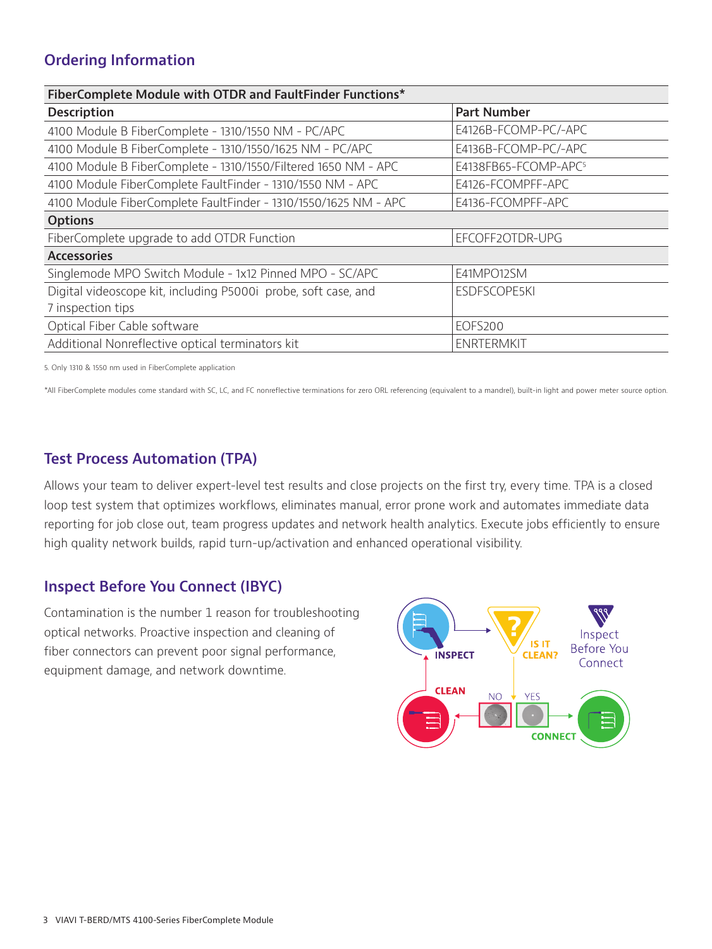## **Ordering Information**

| FiberComplete Module with OTDR and FaultFinder Functions*       |                                  |  |  |  |  |  |  |
|-----------------------------------------------------------------|----------------------------------|--|--|--|--|--|--|
| <b>Description</b>                                              | <b>Part Number</b>               |  |  |  |  |  |  |
| 4100 Module B FiberComplete - 1310/1550 NM - PC/APC             | E4126B-FCOMP-PC/-APC             |  |  |  |  |  |  |
| 4100 Module B FiberComplete - 1310/1550/1625 NM - PC/APC        | E4136B-FCOMP-PC/-APC             |  |  |  |  |  |  |
| 4100 Module B FiberComplete - 1310/1550/Filtered 1650 NM - APC  | E4138FB65-FCOMP-APC <sup>5</sup> |  |  |  |  |  |  |
| 4100 Module FiberComplete FaultFinder - 1310/1550 NM - APC      | E4126-FCOMPFF-APC                |  |  |  |  |  |  |
| 4100 Module FiberComplete FaultFinder - 1310/1550/1625 NM - APC | E4136-FCOMPFF-APC                |  |  |  |  |  |  |
| <b>Options</b>                                                  |                                  |  |  |  |  |  |  |
| FiberComplete upgrade to add OTDR Function                      | EFCOFF2OTDR-UPG                  |  |  |  |  |  |  |
| <b>Accessories</b>                                              |                                  |  |  |  |  |  |  |
| Singlemode MPO Switch Module - 1x12 Pinned MPO - SC/APC         | E41MPO12SM                       |  |  |  |  |  |  |
| Digital videoscope kit, including P5000i probe, soft case, and  | <b>ESDFSCOPE5KI</b>              |  |  |  |  |  |  |
| 7 inspection tips                                               |                                  |  |  |  |  |  |  |
| Optical Fiber Cable software                                    | <b>EOFS200</b>                   |  |  |  |  |  |  |
| Additional Nonreflective optical terminators kit                | <b>ENRTERMKIT</b>                |  |  |  |  |  |  |

5. Only 1310 & 1550 nm used in FiberComplete application

\*All FiberComplete modules come standard with SC, LC, and FC nonreflective terminations for zero ORL referencing (equivalent to a mandrel), built-in light and power meter source option.

## **Test Process Automation (TPA)**

Allows your team to deliver expert-level test results and close projects on the first try, every time. TPA is a closed loop test system that optimizes workflows, eliminates manual, error prone work and automates immediate data reporting for job close out, team progress updates and network health analytics. Execute jobs efficiently to ensure high quality network builds, rapid turn-up/activation and enhanced operational visibility.

#### **Inspect Before You Connect (IBYC)**

Contamination is the number 1 reason for troubleshooting optical networks. Proactive inspection and cleaning of fiber connectors can prevent poor signal performance, equipment damage, and network downtime.